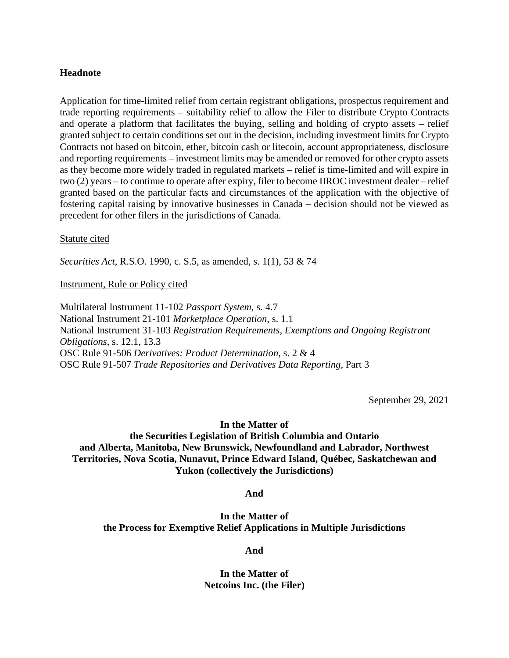## **Headnote**

Application for time-limited relief from certain registrant obligations, prospectus requirement and trade reporting requirements – suitability relief to allow the Filer to distribute Crypto Contracts and operate a platform that facilitates the buying, selling and holding of crypto assets – relief granted subject to certain conditions set out in the decision, including investment limits for Crypto Contracts not based on bitcoin, ether, bitcoin cash or litecoin, account appropriateness, disclosure and reporting requirements – investment limits may be amended or removed for other crypto assets as they become more widely traded in regulated markets – relief is time-limited and will expire in two (2) years – to continue to operate after expiry, filer to become IIROC investment dealer – relief granted based on the particular facts and circumstances of the application with the objective of fostering capital raising by innovative businesses in Canada – decision should not be viewed as precedent for other filers in the jurisdictions of Canada.

#### Statute cited

*Securities Act*, R.S.O. 1990, c. S.5, as amended, s. 1(1), 53 & 74

Instrument, Rule or Policy cited

Multilateral Instrument 11-102 *Passport System*, s. 4.7 National Instrument 21-101 *Marketplace Operation*, s. 1.1 National Instrument 31-103 *Registration Requirements, Exemptions and Ongoing Registrant Obligations*, s. 12.1, 13.3 OSC Rule 91-506 *Derivatives: Product Determination*, s. 2 & 4 OSC Rule 91-507 *Trade Repositories and Derivatives Data Reporting,* Part 3

September 29, 2021

## **In the Matter of**

# **the Securities Legislation of British Columbia and Ontario and Alberta, Manitoba, New Brunswick, Newfoundland and Labrador, Northwest Territories, Nova Scotia, Nunavut, Prince Edward Island, Québec, Saskatchewan and Yukon (collectively the Jurisdictions)**

**And** 

**In the Matter of the Process for Exemptive Relief Applications in Multiple Jurisdictions** 

**And** 

**In the Matter of Netcoins Inc. (the Filer)**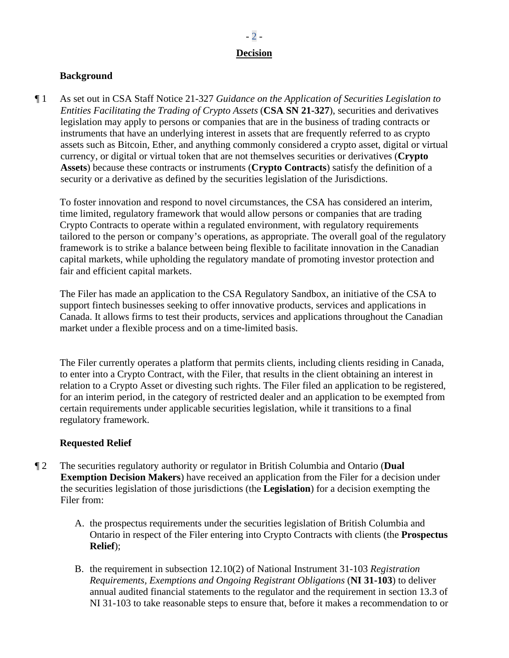# **Decision**

# **Background**

¶ 1 As set out in CSA Staff Notice 21-327 *Guidance on the Application of Securities Legislation to Entities Facilitating the Trading of Crypto Assets* (**CSA SN 21-327**), securities and derivatives legislation may apply to persons or companies that are in the business of trading contracts or instruments that have an underlying interest in assets that are frequently referred to as crypto assets such as Bitcoin, Ether, and anything commonly considered a crypto asset, digital or virtual currency, or digital or virtual token that are not themselves securities or derivatives (**Crypto Assets**) because these contracts or instruments (**Crypto Contracts**) satisfy the definition of a security or a derivative as defined by the securities legislation of the Jurisdictions.

To foster innovation and respond to novel circumstances, the CSA has considered an interim, time limited, regulatory framework that would allow persons or companies that are trading Crypto Contracts to operate within a regulated environment, with regulatory requirements tailored to the person or company's operations, as appropriate. The overall goal of the regulatory framework is to strike a balance between being flexible to facilitate innovation in the Canadian capital markets, while upholding the regulatory mandate of promoting investor protection and fair and efficient capital markets.

The Filer has made an application to the CSA Regulatory Sandbox, an initiative of the CSA to support fintech businesses seeking to offer innovative products, services and applications in Canada. It allows firms to test their products, services and applications throughout the Canadian market under a flexible process and on a time-limited basis.

The Filer currently operates a platform that permits clients, including clients residing in Canada, to enter into a Crypto Contract, with the Filer, that results in the client obtaining an interest in relation to a Crypto Asset or divesting such rights. The Filer filed an application to be registered, for an interim period, in the category of restricted dealer and an application to be exempted from certain requirements under applicable securities legislation, while it transitions to a final regulatory framework.

# **Requested Relief**

- ¶ 2 The securities regulatory authority or regulator in British Columbia and Ontario (**Dual Exemption Decision Makers**) have received an application from the Filer for a decision under the securities legislation of those jurisdictions (the **Legislation**) for a decision exempting the Filer from:
	- A. the prospectus requirements under the securities legislation of British Columbia and Ontario in respect of the Filer entering into Crypto Contracts with clients (the **Prospectus Relief**);
	- B. the requirement in subsection 12.10(2) of National Instrument 31-103 *Registration Requirements, Exemptions and Ongoing Registrant Obligations* (**NI 31-103**) to deliver annual audited financial statements to the regulator and the requirement in section 13.3 of NI 31-103 to take reasonable steps to ensure that, before it makes a recommendation to or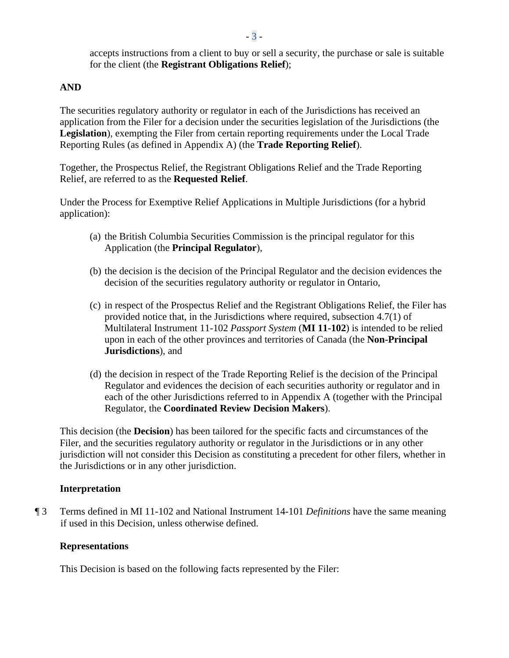accepts instructions from a client to buy or sell a security, the purchase or sale is suitable for the client (the **Registrant Obligations Relief**);

## **AND**

The securities regulatory authority or regulator in each of the Jurisdictions has received an application from the Filer for a decision under the securities legislation of the Jurisdictions (the **Legislation**), exempting the Filer from certain reporting requirements under the Local Trade Reporting Rules (as defined in Appendix A) (the **Trade Reporting Relief**).

Together, the Prospectus Relief, the Registrant Obligations Relief and the Trade Reporting Relief, are referred to as the **Requested Relief**.

Under the Process for Exemptive Relief Applications in Multiple Jurisdictions (for a hybrid application):

- (a) the British Columbia Securities Commission is the principal regulator for this Application (the **Principal Regulator**),
- (b) the decision is the decision of the Principal Regulator and the decision evidences the decision of the securities regulatory authority or regulator in Ontario,
- (c) in respect of the Prospectus Relief and the Registrant Obligations Relief, the Filer has provided notice that, in the Jurisdictions where required, subsection 4.7(1) of Multilateral Instrument 11-102 *Passport System* (**MI 11-102**) is intended to be relied upon in each of the other provinces and territories of Canada (the **Non-Principal Jurisdictions**), and
- (d) the decision in respect of the Trade Reporting Relief is the decision of the Principal Regulator and evidences the decision of each securities authority or regulator and in each of the other Jurisdictions referred to in Appendix A (together with the Principal Regulator, the **Coordinated Review Decision Makers**).

This decision (the **Decision**) has been tailored for the specific facts and circumstances of the Filer, and the securities regulatory authority or regulator in the Jurisdictions or in any other jurisdiction will not consider this Decision as constituting a precedent for other filers, whether in the Jurisdictions or in any other jurisdiction.

#### **Interpretation**

¶ 3 Terms defined in MI 11-102 and National Instrument 14-101 *Definitions* have the same meaning if used in this Decision, unless otherwise defined.

#### **Representations**

This Decision is based on the following facts represented by the Filer: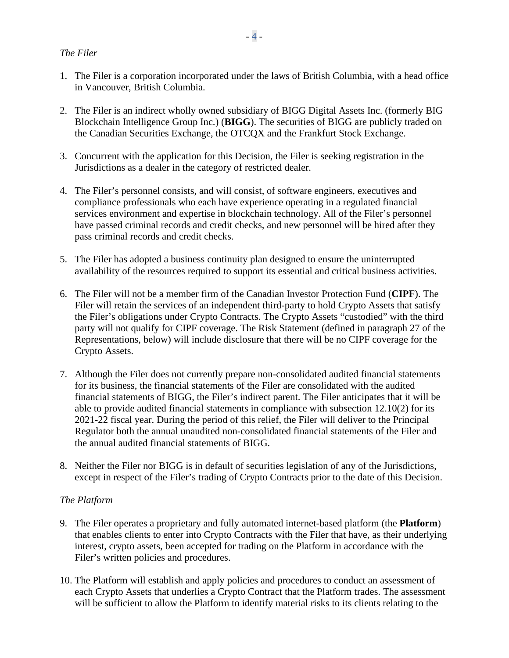# *The Filer*

- 1. The Filer is a corporation incorporated under the laws of British Columbia, with a head office in Vancouver, British Columbia.
- 2. The Filer is an indirect wholly owned subsidiary of BIGG Digital Assets Inc. (formerly BIG Blockchain Intelligence Group Inc.) (**BIGG**). The securities of BIGG are publicly traded on the Canadian Securities Exchange, the OTCQX and the Frankfurt Stock Exchange.
- 3. Concurrent with the application for this Decision, the Filer is seeking registration in the Jurisdictions as a dealer in the category of restricted dealer.
- 4. The Filer's personnel consists, and will consist, of software engineers, executives and compliance professionals who each have experience operating in a regulated financial services environment and expertise in blockchain technology. All of the Filer's personnel have passed criminal records and credit checks, and new personnel will be hired after they pass criminal records and credit checks.
- 5. The Filer has adopted a business continuity plan designed to ensure the uninterrupted availability of the resources required to support its essential and critical business activities.
- 6. The Filer will not be a member firm of the Canadian Investor Protection Fund (**CIPF**). The Filer will retain the services of an independent third-party to hold Crypto Assets that satisfy the Filer's obligations under Crypto Contracts. The Crypto Assets "custodied" with the third party will not qualify for CIPF coverage. The Risk Statement (defined in paragraph 27 of the Representations, below) will include disclosure that there will be no CIPF coverage for the Crypto Assets.
- 7. Although the Filer does not currently prepare non-consolidated audited financial statements for its business, the financial statements of the Filer are consolidated with the audited financial statements of BIGG, the Filer's indirect parent. The Filer anticipates that it will be able to provide audited financial statements in compliance with subsection 12.10(2) for its 2021-22 fiscal year. During the period of this relief, the Filer will deliver to the Principal Regulator both the annual unaudited non-consolidated financial statements of the Filer and the annual audited financial statements of BIGG.
- 8. Neither the Filer nor BIGG is in default of securities legislation of any of the Jurisdictions, except in respect of the Filer's trading of Crypto Contracts prior to the date of this Decision.

## *The Platform*

- 9. The Filer operates a proprietary and fully automated internet-based platform (the **Platform**) that enables clients to enter into Crypto Contracts with the Filer that have, as their underlying interest, crypto assets, been accepted for trading on the Platform in accordance with the Filer's written policies and procedures.
- 10. The Platform will establish and apply policies and procedures to conduct an assessment of each Crypto Assets that underlies a Crypto Contract that the Platform trades. The assessment will be sufficient to allow the Platform to identify material risks to its clients relating to the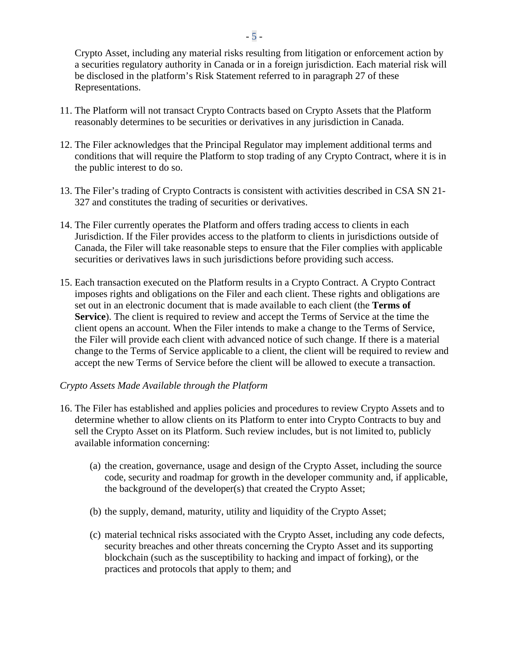Crypto Asset, including any material risks resulting from litigation or enforcement action by a securities regulatory authority in Canada or in a foreign jurisdiction. Each material risk will be disclosed in the platform's Risk Statement referred to in paragraph 27 of these Representations.

- 11. The Platform will not transact Crypto Contracts based on Crypto Assets that the Platform reasonably determines to be securities or derivatives in any jurisdiction in Canada.
- 12. The Filer acknowledges that the Principal Regulator may implement additional terms and conditions that will require the Platform to stop trading of any Crypto Contract, where it is in the public interest to do so.
- 13. The Filer's trading of Crypto Contracts is consistent with activities described in CSA SN 21- 327 and constitutes the trading of securities or derivatives.
- 14. The Filer currently operates the Platform and offers trading access to clients in each Jurisdiction. If the Filer provides access to the platform to clients in jurisdictions outside of Canada, the Filer will take reasonable steps to ensure that the Filer complies with applicable securities or derivatives laws in such jurisdictions before providing such access.
- 15. Each transaction executed on the Platform results in a Crypto Contract. A Crypto Contract imposes rights and obligations on the Filer and each client. These rights and obligations are set out in an electronic document that is made available to each client (the **Terms of Service**). The client is required to review and accept the Terms of Service at the time the client opens an account. When the Filer intends to make a change to the Terms of Service, the Filer will provide each client with advanced notice of such change. If there is a material change to the Terms of Service applicable to a client, the client will be required to review and accept the new Terms of Service before the client will be allowed to execute a transaction.

## *Crypto Assets Made Available through the Platform*

- 16. The Filer has established and applies policies and procedures to review Crypto Assets and to determine whether to allow clients on its Platform to enter into Crypto Contracts to buy and sell the Crypto Asset on its Platform. Such review includes, but is not limited to, publicly available information concerning:
	- (a) the creation, governance, usage and design of the Crypto Asset, including the source code, security and roadmap for growth in the developer community and, if applicable, the background of the developer(s) that created the Crypto Asset;
	- (b) the supply, demand, maturity, utility and liquidity of the Crypto Asset;
	- (c) material technical risks associated with the Crypto Asset, including any code defects, security breaches and other threats concerning the Crypto Asset and its supporting blockchain (such as the susceptibility to hacking and impact of forking), or the practices and protocols that apply to them; and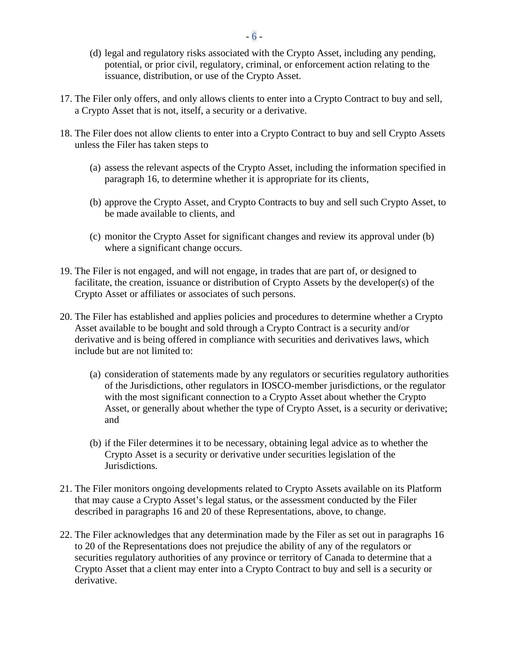- (d) legal and regulatory risks associated with the Crypto Asset, including any pending, potential, or prior civil, regulatory, criminal, or enforcement action relating to the issuance, distribution, or use of the Crypto Asset.
- 17. The Filer only offers, and only allows clients to enter into a Crypto Contract to buy and sell, a Crypto Asset that is not, itself, a security or a derivative.
- 18. The Filer does not allow clients to enter into a Crypto Contract to buy and sell Crypto Assets unless the Filer has taken steps to
	- (a) assess the relevant aspects of the Crypto Asset, including the information specified in paragraph 16, to determine whether it is appropriate for its clients,
	- (b) approve the Crypto Asset, and Crypto Contracts to buy and sell such Crypto Asset, to be made available to clients, and
	- (c) monitor the Crypto Asset for significant changes and review its approval under (b) where a significant change occurs.
- 19. The Filer is not engaged, and will not engage, in trades that are part of, or designed to facilitate, the creation, issuance or distribution of Crypto Assets by the developer(s) of the Crypto Asset or affiliates or associates of such persons.
- 20. The Filer has established and applies policies and procedures to determine whether a Crypto Asset available to be bought and sold through a Crypto Contract is a security and/or derivative and is being offered in compliance with securities and derivatives laws, which include but are not limited to:
	- (a) consideration of statements made by any regulators or securities regulatory authorities of the Jurisdictions, other regulators in IOSCO-member jurisdictions, or the regulator with the most significant connection to a Crypto Asset about whether the Crypto Asset, or generally about whether the type of Crypto Asset, is a security or derivative; and
	- (b) if the Filer determines it to be necessary, obtaining legal advice as to whether the Crypto Asset is a security or derivative under securities legislation of the Jurisdictions.
- 21. The Filer monitors ongoing developments related to Crypto Assets available on its Platform that may cause a Crypto Asset's legal status, or the assessment conducted by the Filer described in paragraphs 16 and 20 of these Representations, above, to change.
- 22. The Filer acknowledges that any determination made by the Filer as set out in paragraphs 16 to 20 of the Representations does not prejudice the ability of any of the regulators or securities regulatory authorities of any province or territory of Canada to determine that a Crypto Asset that a client may enter into a Crypto Contract to buy and sell is a security or derivative.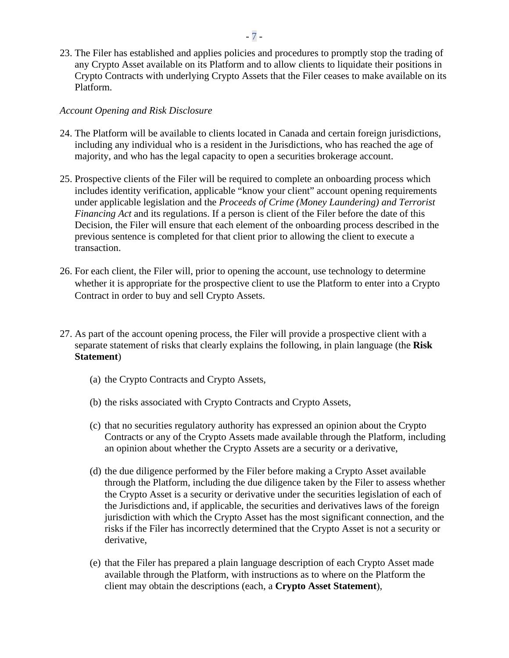23. The Filer has established and applies policies and procedures to promptly stop the trading of any Crypto Asset available on its Platform and to allow clients to liquidate their positions in Crypto Contracts with underlying Crypto Assets that the Filer ceases to make available on its Platform.

# *Account Opening and Risk Disclosure*

- 24. The Platform will be available to clients located in Canada and certain foreign jurisdictions, including any individual who is a resident in the Jurisdictions, who has reached the age of majority, and who has the legal capacity to open a securities brokerage account.
- 25. Prospective clients of the Filer will be required to complete an onboarding process which includes identity verification, applicable "know your client" account opening requirements under applicable legislation and the *Proceeds of Crime (Money Laundering) and Terrorist Financing Act* and its regulations. If a person is client of the Filer before the date of this Decision, the Filer will ensure that each element of the onboarding process described in the previous sentence is completed for that client prior to allowing the client to execute a transaction.
- 26. For each client, the Filer will, prior to opening the account, use technology to determine whether it is appropriate for the prospective client to use the Platform to enter into a Crypto Contract in order to buy and sell Crypto Assets.
- 27. As part of the account opening process, the Filer will provide a prospective client with a separate statement of risks that clearly explains the following, in plain language (the **Risk Statement**)
	- (a) the Crypto Contracts and Crypto Assets,
	- (b) the risks associated with Crypto Contracts and Crypto Assets,
	- (c) that no securities regulatory authority has expressed an opinion about the Crypto Contracts or any of the Crypto Assets made available through the Platform, including an opinion about whether the Crypto Assets are a security or a derivative,
	- (d) the due diligence performed by the Filer before making a Crypto Asset available through the Platform, including the due diligence taken by the Filer to assess whether the Crypto Asset is a security or derivative under the securities legislation of each of the Jurisdictions and, if applicable, the securities and derivatives laws of the foreign jurisdiction with which the Crypto Asset has the most significant connection, and the risks if the Filer has incorrectly determined that the Crypto Asset is not a security or derivative,
	- (e) that the Filer has prepared a plain language description of each Crypto Asset made available through the Platform, with instructions as to where on the Platform the client may obtain the descriptions (each, a **Crypto Asset Statement**),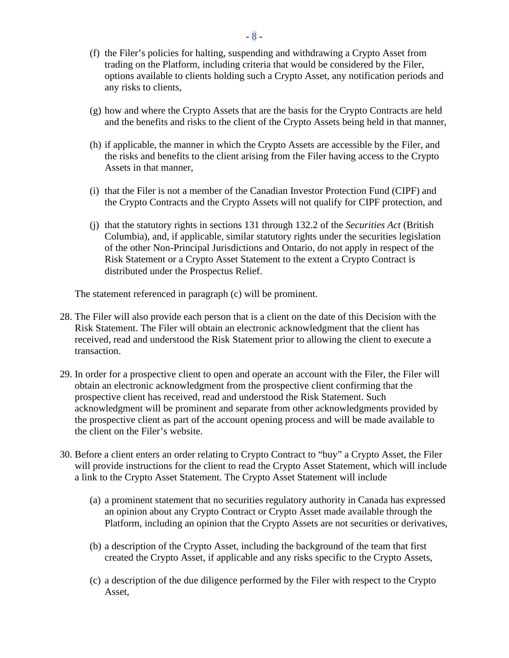- (f) the Filer's policies for halting, suspending and withdrawing a Crypto Asset from trading on the Platform, including criteria that would be considered by the Filer, options available to clients holding such a Crypto Asset, any notification periods and any risks to clients,
- (g) how and where the Crypto Assets that are the basis for the Crypto Contracts are held and the benefits and risks to the client of the Crypto Assets being held in that manner,
- (h) if applicable, the manner in which the Crypto Assets are accessible by the Filer, and the risks and benefits to the client arising from the Filer having access to the Crypto Assets in that manner,
- (i) that the Filer is not a member of the Canadian Investor Protection Fund (CIPF) and the Crypto Contracts and the Crypto Assets will not qualify for CIPF protection, and
- (j) that the statutory rights in sections 131 through 132.2 of the *Securities Act* (British Columbia), and, if applicable, similar statutory rights under the securities legislation of the other Non-Principal Jurisdictions and Ontario, do not apply in respect of the Risk Statement or a Crypto Asset Statement to the extent a Crypto Contract is distributed under the Prospectus Relief.

The statement referenced in paragraph (c) will be prominent.

- 28. The Filer will also provide each person that is a client on the date of this Decision with the Risk Statement. The Filer will obtain an electronic acknowledgment that the client has received, read and understood the Risk Statement prior to allowing the client to execute a transaction.
- 29. In order for a prospective client to open and operate an account with the Filer, the Filer will obtain an electronic acknowledgment from the prospective client confirming that the prospective client has received, read and understood the Risk Statement. Such acknowledgment will be prominent and separate from other acknowledgments provided by the prospective client as part of the account opening process and will be made available to the client on the Filer's website.
- 30. Before a client enters an order relating to Crypto Contract to "buy" a Crypto Asset, the Filer will provide instructions for the client to read the Crypto Asset Statement, which will include a link to the Crypto Asset Statement. The Crypto Asset Statement will include
	- (a) a prominent statement that no securities regulatory authority in Canada has expressed an opinion about any Crypto Contract or Crypto Asset made available through the Platform, including an opinion that the Crypto Assets are not securities or derivatives,
	- (b) a description of the Crypto Asset, including the background of the team that first created the Crypto Asset, if applicable and any risks specific to the Crypto Assets,
	- (c) a description of the due diligence performed by the Filer with respect to the Crypto Asset,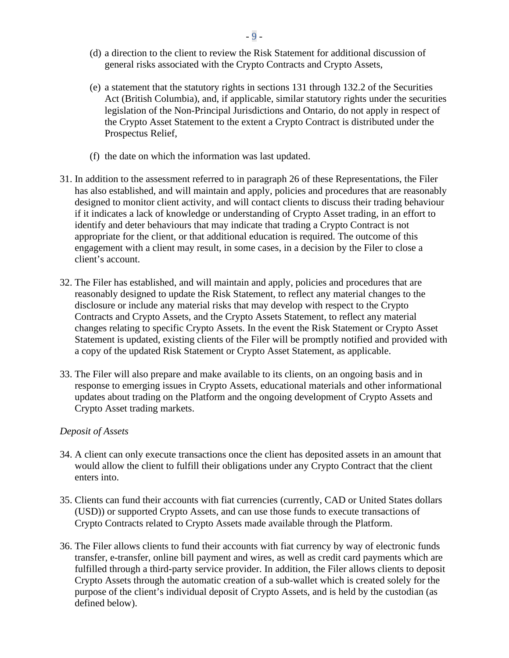- (d) a direction to the client to review the Risk Statement for additional discussion of general risks associated with the Crypto Contracts and Crypto Assets,
- (e) a statement that the statutory rights in sections 131 through 132.2 of the Securities Act (British Columbia), and, if applicable, similar statutory rights under the securities legislation of the Non-Principal Jurisdictions and Ontario, do not apply in respect of the Crypto Asset Statement to the extent a Crypto Contract is distributed under the Prospectus Relief,
- (f) the date on which the information was last updated.
- 31. In addition to the assessment referred to in paragraph 26 of these Representations, the Filer has also established, and will maintain and apply, policies and procedures that are reasonably designed to monitor client activity, and will contact clients to discuss their trading behaviour if it indicates a lack of knowledge or understanding of Crypto Asset trading, in an effort to identify and deter behaviours that may indicate that trading a Crypto Contract is not appropriate for the client, or that additional education is required. The outcome of this engagement with a client may result, in some cases, in a decision by the Filer to close a client's account.
- 32. The Filer has established, and will maintain and apply, policies and procedures that are reasonably designed to update the Risk Statement, to reflect any material changes to the disclosure or include any material risks that may develop with respect to the Crypto Contracts and Crypto Assets, and the Crypto Assets Statement, to reflect any material changes relating to specific Crypto Assets. In the event the Risk Statement or Crypto Asset Statement is updated, existing clients of the Filer will be promptly notified and provided with a copy of the updated Risk Statement or Crypto Asset Statement, as applicable.
- 33. The Filer will also prepare and make available to its clients, on an ongoing basis and in response to emerging issues in Crypto Assets, educational materials and other informational updates about trading on the Platform and the ongoing development of Crypto Assets and Crypto Asset trading markets.

## *Deposit of Assets*

- 34. A client can only execute transactions once the client has deposited assets in an amount that would allow the client to fulfill their obligations under any Crypto Contract that the client enters into.
- 35. Clients can fund their accounts with fiat currencies (currently, CAD or United States dollars (USD)) or supported Crypto Assets, and can use those funds to execute transactions of Crypto Contracts related to Crypto Assets made available through the Platform.
- 36. The Filer allows clients to fund their accounts with fiat currency by way of electronic funds transfer, e-transfer, online bill payment and wires, as well as credit card payments which are fulfilled through a third-party service provider. In addition, the Filer allows clients to deposit Crypto Assets through the automatic creation of a sub-wallet which is created solely for the purpose of the client's individual deposit of Crypto Assets, and is held by the custodian (as defined below).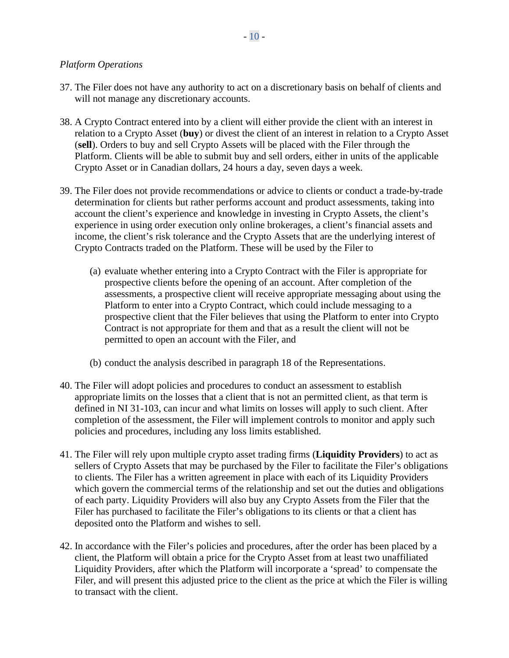# *Platform Operations*

- 37. The Filer does not have any authority to act on a discretionary basis on behalf of clients and will not manage any discretionary accounts.
- 38. A Crypto Contract entered into by a client will either provide the client with an interest in relation to a Crypto Asset (**buy**) or divest the client of an interest in relation to a Crypto Asset (**sell**). Orders to buy and sell Crypto Assets will be placed with the Filer through the Platform. Clients will be able to submit buy and sell orders, either in units of the applicable Crypto Asset or in Canadian dollars, 24 hours a day, seven days a week.
- 39. The Filer does not provide recommendations or advice to clients or conduct a trade-by-trade determination for clients but rather performs account and product assessments, taking into account the client's experience and knowledge in investing in Crypto Assets, the client's experience in using order execution only online brokerages, a client's financial assets and income, the client's risk tolerance and the Crypto Assets that are the underlying interest of Crypto Contracts traded on the Platform. These will be used by the Filer to
	- (a) evaluate whether entering into a Crypto Contract with the Filer is appropriate for prospective clients before the opening of an account. After completion of the assessments, a prospective client will receive appropriate messaging about using the Platform to enter into a Crypto Contract, which could include messaging to a prospective client that the Filer believes that using the Platform to enter into Crypto Contract is not appropriate for them and that as a result the client will not be permitted to open an account with the Filer, and
	- (b) conduct the analysis described in paragraph 18 of the Representations.
- 40. The Filer will adopt policies and procedures to conduct an assessment to establish appropriate limits on the losses that a client that is not an permitted client, as that term is defined in NI 31-103, can incur and what limits on losses will apply to such client. After completion of the assessment, the Filer will implement controls to monitor and apply such policies and procedures, including any loss limits established.
- 41. The Filer will rely upon multiple crypto asset trading firms (**Liquidity Providers**) to act as sellers of Crypto Assets that may be purchased by the Filer to facilitate the Filer's obligations to clients. The Filer has a written agreement in place with each of its Liquidity Providers which govern the commercial terms of the relationship and set out the duties and obligations of each party. Liquidity Providers will also buy any Crypto Assets from the Filer that the Filer has purchased to facilitate the Filer's obligations to its clients or that a client has deposited onto the Platform and wishes to sell.
- 42. In accordance with the Filer's policies and procedures, after the order has been placed by a client, the Platform will obtain a price for the Crypto Asset from at least two unaffiliated Liquidity Providers, after which the Platform will incorporate a 'spread' to compensate the Filer, and will present this adjusted price to the client as the price at which the Filer is willing to transact with the client.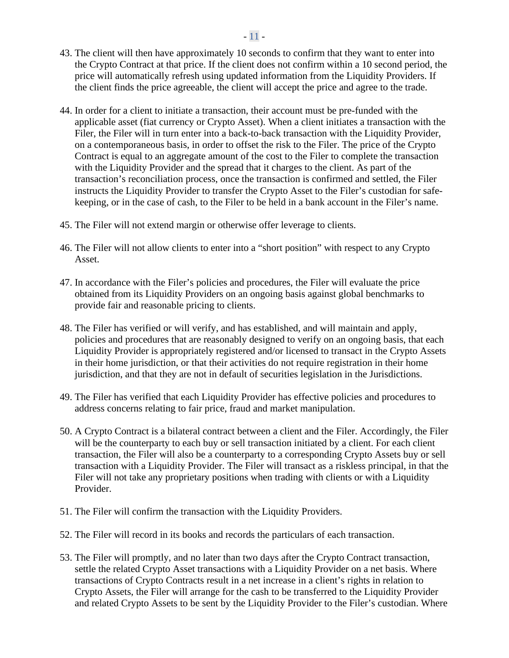- 43. The client will then have approximately 10 seconds to confirm that they want to enter into the Crypto Contract at that price. If the client does not confirm within a 10 second period, the price will automatically refresh using updated information from the Liquidity Providers. If the client finds the price agreeable, the client will accept the price and agree to the trade.
- 44. In order for a client to initiate a transaction, their account must be pre-funded with the applicable asset (fiat currency or Crypto Asset). When a client initiates a transaction with the Filer, the Filer will in turn enter into a back-to-back transaction with the Liquidity Provider, on a contemporaneous basis, in order to offset the risk to the Filer. The price of the Crypto Contract is equal to an aggregate amount of the cost to the Filer to complete the transaction with the Liquidity Provider and the spread that it charges to the client. As part of the transaction's reconciliation process, once the transaction is confirmed and settled, the Filer instructs the Liquidity Provider to transfer the Crypto Asset to the Filer's custodian for safekeeping, or in the case of cash, to the Filer to be held in a bank account in the Filer's name.
- 45. The Filer will not extend margin or otherwise offer leverage to clients.
- 46. The Filer will not allow clients to enter into a "short position" with respect to any Crypto Asset.
- 47. In accordance with the Filer's policies and procedures, the Filer will evaluate the price obtained from its Liquidity Providers on an ongoing basis against global benchmarks to provide fair and reasonable pricing to clients.
- 48. The Filer has verified or will verify, and has established, and will maintain and apply, policies and procedures that are reasonably designed to verify on an ongoing basis, that each Liquidity Provider is appropriately registered and/or licensed to transact in the Crypto Assets in their home jurisdiction, or that their activities do not require registration in their home jurisdiction, and that they are not in default of securities legislation in the Jurisdictions.
- 49. The Filer has verified that each Liquidity Provider has effective policies and procedures to address concerns relating to fair price, fraud and market manipulation.
- 50. A Crypto Contract is a bilateral contract between a client and the Filer. Accordingly, the Filer will be the counterparty to each buy or sell transaction initiated by a client. For each client transaction, the Filer will also be a counterparty to a corresponding Crypto Assets buy or sell transaction with a Liquidity Provider. The Filer will transact as a riskless principal, in that the Filer will not take any proprietary positions when trading with clients or with a Liquidity Provider.
- 51. The Filer will confirm the transaction with the Liquidity Providers.
- 52. The Filer will record in its books and records the particulars of each transaction.
- 53. The Filer will promptly, and no later than two days after the Crypto Contract transaction, settle the related Crypto Asset transactions with a Liquidity Provider on a net basis. Where transactions of Crypto Contracts result in a net increase in a client's rights in relation to Crypto Assets, the Filer will arrange for the cash to be transferred to the Liquidity Provider and related Crypto Assets to be sent by the Liquidity Provider to the Filer's custodian. Where

## - 11 -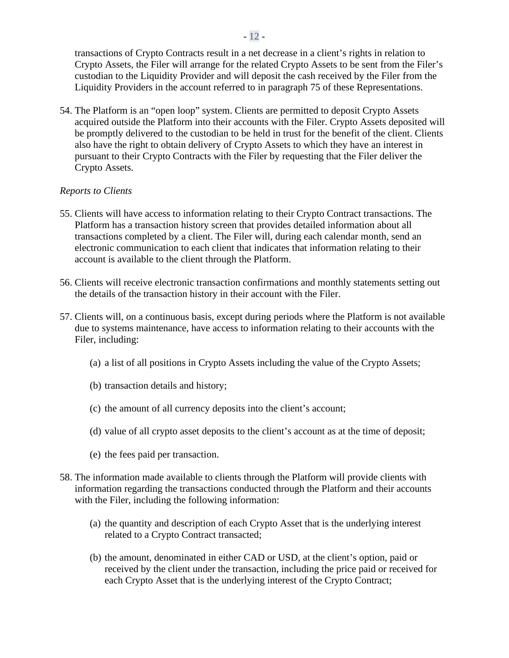transactions of Crypto Contracts result in a net decrease in a client's rights in relation to Crypto Assets, the Filer will arrange for the related Crypto Assets to be sent from the Filer's custodian to the Liquidity Provider and will deposit the cash received by the Filer from the Liquidity Providers in the account referred to in paragraph 75 of these Representations.

54. The Platform is an "open loop" system. Clients are permitted to deposit Crypto Assets acquired outside the Platform into their accounts with the Filer. Crypto Assets deposited will be promptly delivered to the custodian to be held in trust for the benefit of the client. Clients also have the right to obtain delivery of Crypto Assets to which they have an interest in pursuant to their Crypto Contracts with the Filer by requesting that the Filer deliver the Crypto Assets.

## *Reports to Clients*

- 55. Clients will have access to information relating to their Crypto Contract transactions. The Platform has a transaction history screen that provides detailed information about all transactions completed by a client. The Filer will, during each calendar month, send an electronic communication to each client that indicates that information relating to their account is available to the client through the Platform.
- 56. Clients will receive electronic transaction confirmations and monthly statements setting out the details of the transaction history in their account with the Filer.
- 57. Clients will, on a continuous basis, except during periods where the Platform is not available due to systems maintenance, have access to information relating to their accounts with the Filer, including:
	- (a) a list of all positions in Crypto Assets including the value of the Crypto Assets;
	- (b) transaction details and history;
	- (c) the amount of all currency deposits into the client's account;
	- (d) value of all crypto asset deposits to the client's account as at the time of deposit;
	- (e) the fees paid per transaction.
- 58. The information made available to clients through the Platform will provide clients with information regarding the transactions conducted through the Platform and their accounts with the Filer, including the following information:
	- (a) the quantity and description of each Crypto Asset that is the underlying interest related to a Crypto Contract transacted;
	- (b) the amount, denominated in either CAD or USD, at the client's option, paid or received by the client under the transaction, including the price paid or received for each Crypto Asset that is the underlying interest of the Crypto Contract;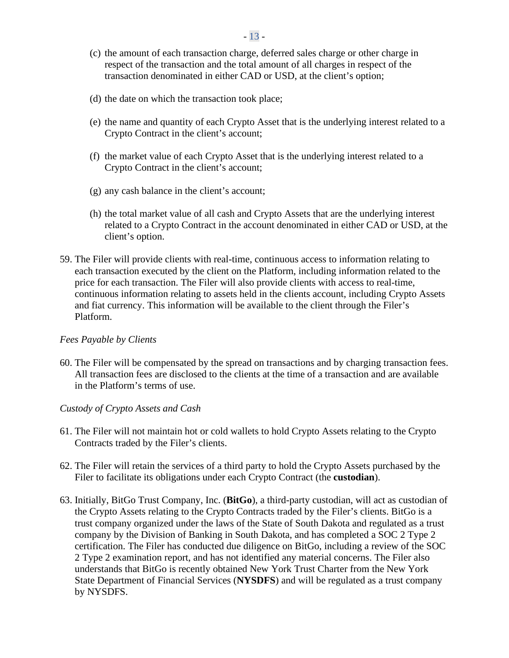- (c) the amount of each transaction charge, deferred sales charge or other charge in respect of the transaction and the total amount of all charges in respect of the transaction denominated in either CAD or USD, at the client's option;
- (d) the date on which the transaction took place;
- (e) the name and quantity of each Crypto Asset that is the underlying interest related to a Crypto Contract in the client's account;
- (f) the market value of each Crypto Asset that is the underlying interest related to a Crypto Contract in the client's account;
- (g) any cash balance in the client's account;
- (h) the total market value of all cash and Crypto Assets that are the underlying interest related to a Crypto Contract in the account denominated in either CAD or USD, at the client's option.
- 59. The Filer will provide clients with real-time, continuous access to information relating to each transaction executed by the client on the Platform, including information related to the price for each transaction. The Filer will also provide clients with access to real-time, continuous information relating to assets held in the clients account, including Crypto Assets and fiat currency. This information will be available to the client through the Filer's Platform.

# *Fees Payable by Clients*

60. The Filer will be compensated by the spread on transactions and by charging transaction fees. All transaction fees are disclosed to the clients at the time of a transaction and are available in the Platform's terms of use.

# *Custody of Crypto Assets and Cash*

- 61. The Filer will not maintain hot or cold wallets to hold Crypto Assets relating to the Crypto Contracts traded by the Filer's clients.
- 62. The Filer will retain the services of a third party to hold the Crypto Assets purchased by the Filer to facilitate its obligations under each Crypto Contract (the **custodian**).
- 63. Initially, BitGo Trust Company, Inc. (**BitGo**), a third-party custodian, will act as custodian of the Crypto Assets relating to the Crypto Contracts traded by the Filer's clients. BitGo is a trust company organized under the laws of the State of South Dakota and regulated as a trust company by the Division of Banking in South Dakota, and has completed a SOC 2 Type 2 certification. The Filer has conducted due diligence on BitGo, including a review of the SOC 2 Type 2 examination report, and has not identified any material concerns. The Filer also understands that BitGo is recently obtained New York Trust Charter from the New York State Department of Financial Services (**NYSDFS**) and will be regulated as a trust company by NYSDFS.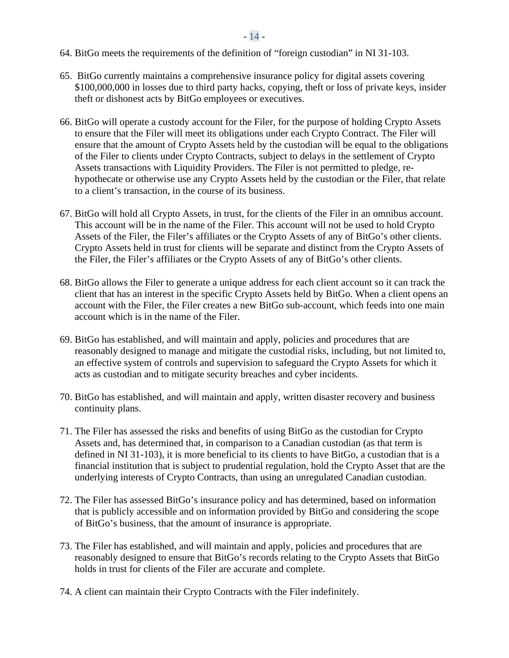64. BitGo meets the requirements of the definition of "foreign custodian" in NI 31-103.

- 65. BitGo currently maintains a comprehensive insurance policy for digital assets covering \$100,000,000 in losses due to third party hacks, copying, theft or loss of private keys, insider theft or dishonest acts by BitGo employees or executives.
- 66. BitGo will operate a custody account for the Filer, for the purpose of holding Crypto Assets to ensure that the Filer will meet its obligations under each Crypto Contract. The Filer will ensure that the amount of Crypto Assets held by the custodian will be equal to the obligations of the Filer to clients under Crypto Contracts, subject to delays in the settlement of Crypto Assets transactions with Liquidity Providers. The Filer is not permitted to pledge, rehypothecate or otherwise use any Crypto Assets held by the custodian or the Filer, that relate to a client's transaction, in the course of its business.
- 67. BitGo will hold all Crypto Assets, in trust, for the clients of the Filer in an omnibus account. This account will be in the name of the Filer. This account will not be used to hold Crypto Assets of the Filer, the Filer's affiliates or the Crypto Assets of any of BitGo's other clients. Crypto Assets held in trust for clients will be separate and distinct from the Crypto Assets of the Filer, the Filer's affiliates or the Crypto Assets of any of BitGo's other clients.
- 68. BitGo allows the Filer to generate a unique address for each client account so it can track the client that has an interest in the specific Crypto Assets held by BitGo. When a client opens an account with the Filer, the Filer creates a new BitGo sub-account, which feeds into one main account which is in the name of the Filer.
- 69. BitGo has established, and will maintain and apply, policies and procedures that are reasonably designed to manage and mitigate the custodial risks, including, but not limited to, an effective system of controls and supervision to safeguard the Crypto Assets for which it acts as custodian and to mitigate security breaches and cyber incidents.
- 70. BitGo has established, and will maintain and apply, written disaster recovery and business continuity plans.
- 71. The Filer has assessed the risks and benefits of using BitGo as the custodian for Crypto Assets and, has determined that, in comparison to a Canadian custodian (as that term is defined in NI 31-103), it is more beneficial to its clients to have BitGo, a custodian that is a financial institution that is subject to prudential regulation, hold the Crypto Asset that are the underlying interests of Crypto Contracts, than using an unregulated Canadian custodian.
- 72. The Filer has assessed BitGo's insurance policy and has determined, based on information that is publicly accessible and on information provided by BitGo and considering the scope of BitGo's business, that the amount of insurance is appropriate.
- 73. The Filer has established, and will maintain and apply, policies and procedures that are reasonably designed to ensure that BitGo's records relating to the Crypto Assets that BitGo holds in trust for clients of the Filer are accurate and complete.
- 74. A client can maintain their Crypto Contracts with the Filer indefinitely.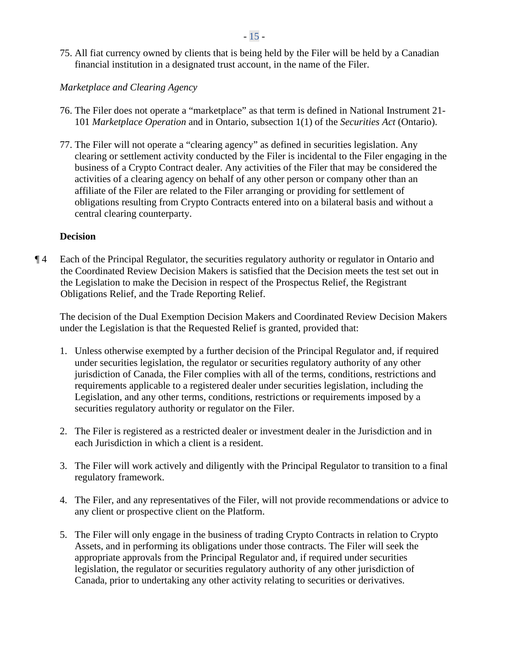$-15 -$ 

75. All fiat currency owned by clients that is being held by the Filer will be held by a Canadian financial institution in a designated trust account, in the name of the Filer.

# *Marketplace and Clearing Agency*

- 76. The Filer does not operate a "marketplace" as that term is defined in National Instrument 21- 101 *Marketplace Operation* and in Ontario, subsection 1(1) of the *Securities Act* (Ontario).
- 77. The Filer will not operate a "clearing agency" as defined in securities legislation. Any clearing or settlement activity conducted by the Filer is incidental to the Filer engaging in the business of a Crypto Contract dealer. Any activities of the Filer that may be considered the activities of a clearing agency on behalf of any other person or company other than an affiliate of the Filer are related to the Filer arranging or providing for settlement of obligations resulting from Crypto Contracts entered into on a bilateral basis and without a central clearing counterparty.

## **Decision**

¶ 4 Each of the Principal Regulator, the securities regulatory authority or regulator in Ontario and the Coordinated Review Decision Makers is satisfied that the Decision meets the test set out in the Legislation to make the Decision in respect of the Prospectus Relief, the Registrant Obligations Relief, and the Trade Reporting Relief.

The decision of the Dual Exemption Decision Makers and Coordinated Review Decision Makers under the Legislation is that the Requested Relief is granted, provided that:

- 1. Unless otherwise exempted by a further decision of the Principal Regulator and, if required under securities legislation, the regulator or securities regulatory authority of any other jurisdiction of Canada, the Filer complies with all of the terms, conditions, restrictions and requirements applicable to a registered dealer under securities legislation, including the Legislation, and any other terms, conditions, restrictions or requirements imposed by a securities regulatory authority or regulator on the Filer.
- 2. The Filer is registered as a restricted dealer or investment dealer in the Jurisdiction and in each Jurisdiction in which a client is a resident.
- 3. The Filer will work actively and diligently with the Principal Regulator to transition to a final regulatory framework.
- 4. The Filer, and any representatives of the Filer, will not provide recommendations or advice to any client or prospective client on the Platform.
- 5. The Filer will only engage in the business of trading Crypto Contracts in relation to Crypto Assets, and in performing its obligations under those contracts. The Filer will seek the appropriate approvals from the Principal Regulator and, if required under securities legislation, the regulator or securities regulatory authority of any other jurisdiction of Canada, prior to undertaking any other activity relating to securities or derivatives.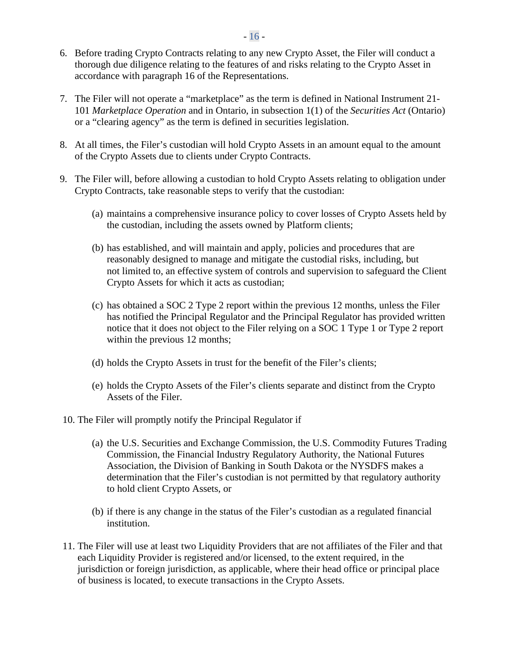- 6. Before trading Crypto Contracts relating to any new Crypto Asset, the Filer will conduct a thorough due diligence relating to the features of and risks relating to the Crypto Asset in accordance with paragraph 16 of the Representations.
- 7. The Filer will not operate a "marketplace" as the term is defined in National Instrument 21- 101 *Marketplace Operation* and in Ontario, in subsection 1(1) of the *Securities Act* (Ontario) or a "clearing agency" as the term is defined in securities legislation.
- 8. At all times, the Filer's custodian will hold Crypto Assets in an amount equal to the amount of the Crypto Assets due to clients under Crypto Contracts.
- 9. The Filer will, before allowing a custodian to hold Crypto Assets relating to obligation under Crypto Contracts, take reasonable steps to verify that the custodian:
	- (a) maintains a comprehensive insurance policy to cover losses of Crypto Assets held by the custodian, including the assets owned by Platform clients;
	- (b) has established, and will maintain and apply, policies and procedures that are reasonably designed to manage and mitigate the custodial risks, including, but not limited to, an effective system of controls and supervision to safeguard the Client Crypto Assets for which it acts as custodian;
	- (c) has obtained a SOC 2 Type 2 report within the previous 12 months, unless the Filer has notified the Principal Regulator and the Principal Regulator has provided written notice that it does not object to the Filer relying on a SOC 1 Type 1 or Type 2 report within the previous 12 months;
	- (d) holds the Crypto Assets in trust for the benefit of the Filer's clients;
	- (e) holds the Crypto Assets of the Filer's clients separate and distinct from the Crypto Assets of the Filer.
- 10. The Filer will promptly notify the Principal Regulator if
	- (a) the U.S. Securities and Exchange Commission, the U.S. Commodity Futures Trading Commission, the Financial Industry Regulatory Authority, the National Futures Association, the Division of Banking in South Dakota or the NYSDFS makes a determination that the Filer's custodian is not permitted by that regulatory authority to hold client Crypto Assets, or
	- (b) if there is any change in the status of the Filer's custodian as a regulated financial institution.
- 11. The Filer will use at least two Liquidity Providers that are not affiliates of the Filer and that each Liquidity Provider is registered and/or licensed, to the extent required, in the jurisdiction or foreign jurisdiction, as applicable, where their head office or principal place of business is located, to execute transactions in the Crypto Assets.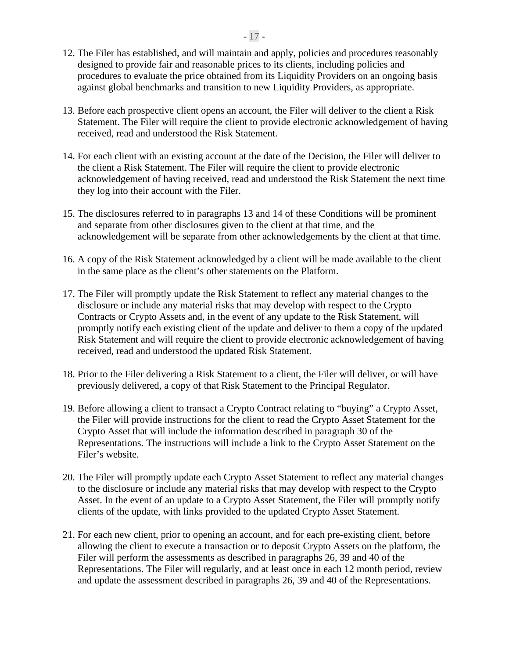- 12. The Filer has established, and will maintain and apply, policies and procedures reasonably designed to provide fair and reasonable prices to its clients, including policies and procedures to evaluate the price obtained from its Liquidity Providers on an ongoing basis against global benchmarks and transition to new Liquidity Providers, as appropriate.
- 13. Before each prospective client opens an account, the Filer will deliver to the client a Risk Statement. The Filer will require the client to provide electronic acknowledgement of having received, read and understood the Risk Statement.
- 14. For each client with an existing account at the date of the Decision, the Filer will deliver to the client a Risk Statement. The Filer will require the client to provide electronic acknowledgement of having received, read and understood the Risk Statement the next time they log into their account with the Filer.
- 15. The disclosures referred to in paragraphs 13 and 14 of these Conditions will be prominent and separate from other disclosures given to the client at that time, and the acknowledgement will be separate from other acknowledgements by the client at that time.
- 16. A copy of the Risk Statement acknowledged by a client will be made available to the client in the same place as the client's other statements on the Platform.
- 17. The Filer will promptly update the Risk Statement to reflect any material changes to the disclosure or include any material risks that may develop with respect to the Crypto Contracts or Crypto Assets and, in the event of any update to the Risk Statement, will promptly notify each existing client of the update and deliver to them a copy of the updated Risk Statement and will require the client to provide electronic acknowledgement of having received, read and understood the updated Risk Statement.
- 18. Prior to the Filer delivering a Risk Statement to a client, the Filer will deliver, or will have previously delivered, a copy of that Risk Statement to the Principal Regulator.
- 19. Before allowing a client to transact a Crypto Contract relating to "buying" a Crypto Asset, the Filer will provide instructions for the client to read the Crypto Asset Statement for the Crypto Asset that will include the information described in paragraph 30 of the Representations. The instructions will include a link to the Crypto Asset Statement on the Filer's website.
- 20. The Filer will promptly update each Crypto Asset Statement to reflect any material changes to the disclosure or include any material risks that may develop with respect to the Crypto Asset. In the event of an update to a Crypto Asset Statement, the Filer will promptly notify clients of the update, with links provided to the updated Crypto Asset Statement.
- 21. For each new client, prior to opening an account, and for each pre-existing client, before allowing the client to execute a transaction or to deposit Crypto Assets on the platform, the Filer will perform the assessments as described in paragraphs 26, 39 and 40 of the Representations. The Filer will regularly, and at least once in each 12 month period, review and update the assessment described in paragraphs 26, 39 and 40 of the Representations.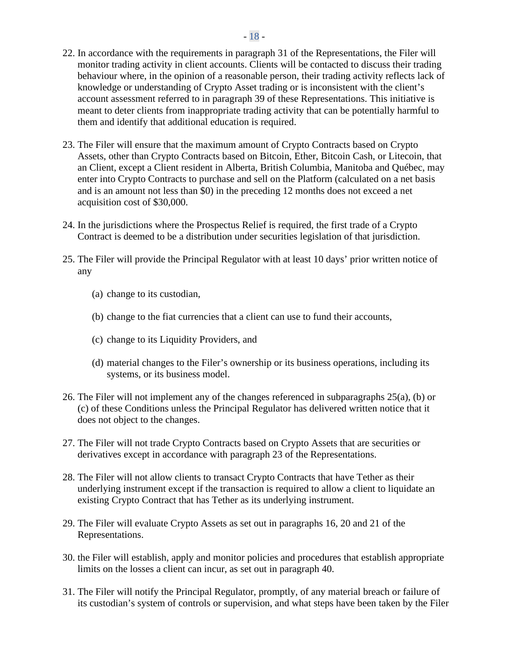- 22. In accordance with the requirements in paragraph 31 of the Representations, the Filer will monitor trading activity in client accounts. Clients will be contacted to discuss their trading behaviour where, in the opinion of a reasonable person, their trading activity reflects lack of knowledge or understanding of Crypto Asset trading or is inconsistent with the client's account assessment referred to in paragraph 39 of these Representations. This initiative is meant to deter clients from inappropriate trading activity that can be potentially harmful to them and identify that additional education is required.
- 23. The Filer will ensure that the maximum amount of Crypto Contracts based on Crypto Assets, other than Crypto Contracts based on Bitcoin, Ether, Bitcoin Cash, or Litecoin, that an Client, except a Client resident in Alberta, British Columbia, Manitoba and Québec, may enter into Crypto Contracts to purchase and sell on the Platform (calculated on a net basis and is an amount not less than \$0) in the preceding 12 months does not exceed a net acquisition cost of \$30,000.
- 24. In the jurisdictions where the Prospectus Relief is required, the first trade of a Crypto Contract is deemed to be a distribution under securities legislation of that jurisdiction.
- 25. The Filer will provide the Principal Regulator with at least 10 days' prior written notice of any
	- (a) change to its custodian,
	- (b) change to the fiat currencies that a client can use to fund their accounts,
	- (c) change to its Liquidity Providers, and
	- (d) material changes to the Filer's ownership or its business operations, including its systems, or its business model.
- 26. The Filer will not implement any of the changes referenced in subparagraphs 25(a), (b) or (c) of these Conditions unless the Principal Regulator has delivered written notice that it does not object to the changes.
- 27. The Filer will not trade Crypto Contracts based on Crypto Assets that are securities or derivatives except in accordance with paragraph 23 of the Representations.
- 28. The Filer will not allow clients to transact Crypto Contracts that have Tether as their underlying instrument except if the transaction is required to allow a client to liquidate an existing Crypto Contract that has Tether as its underlying instrument.
- 29. The Filer will evaluate Crypto Assets as set out in paragraphs 16, 20 and 21 of the Representations.
- 30. the Filer will establish, apply and monitor policies and procedures that establish appropriate limits on the losses a client can incur, as set out in paragraph 40.
- 31. The Filer will notify the Principal Regulator, promptly, of any material breach or failure of its custodian's system of controls or supervision, and what steps have been taken by the Filer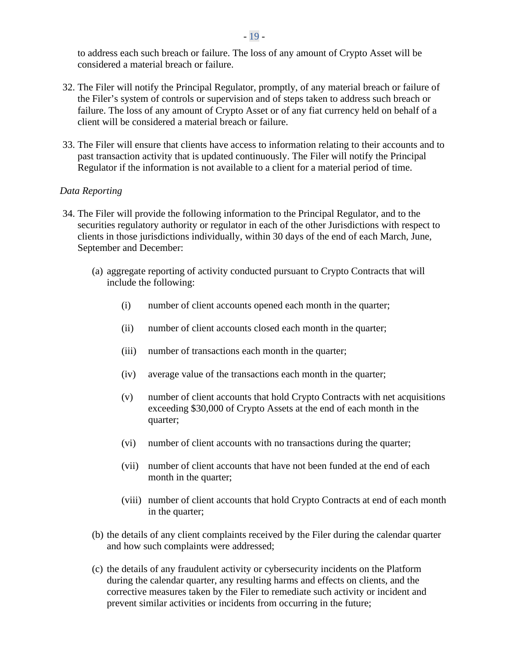to address each such breach or failure. The loss of any amount of Crypto Asset will be considered a material breach or failure.

- 32. The Filer will notify the Principal Regulator, promptly, of any material breach or failure of the Filer's system of controls or supervision and of steps taken to address such breach or failure. The loss of any amount of Crypto Asset or of any fiat currency held on behalf of a client will be considered a material breach or failure.
- 33. The Filer will ensure that clients have access to information relating to their accounts and to past transaction activity that is updated continuously. The Filer will notify the Principal Regulator if the information is not available to a client for a material period of time.

#### *Data Reporting*

- 34. The Filer will provide the following information to the Principal Regulator, and to the securities regulatory authority or regulator in each of the other Jurisdictions with respect to clients in those jurisdictions individually, within 30 days of the end of each March, June, September and December:
	- (a) aggregate reporting of activity conducted pursuant to Crypto Contracts that will include the following:
		- (i) number of client accounts opened each month in the quarter;
		- (ii) number of client accounts closed each month in the quarter;
		- (iii) number of transactions each month in the quarter;
		- (iv) average value of the transactions each month in the quarter;
		- (v) number of client accounts that hold Crypto Contracts with net acquisitions exceeding \$30,000 of Crypto Assets at the end of each month in the quarter;
		- (vi) number of client accounts with no transactions during the quarter;
		- (vii) number of client accounts that have not been funded at the end of each month in the quarter;
		- (viii) number of client accounts that hold Crypto Contracts at end of each month in the quarter;
	- (b) the details of any client complaints received by the Filer during the calendar quarter and how such complaints were addressed;
	- (c) the details of any fraudulent activity or cybersecurity incidents on the Platform during the calendar quarter, any resulting harms and effects on clients, and the corrective measures taken by the Filer to remediate such activity or incident and prevent similar activities or incidents from occurring in the future;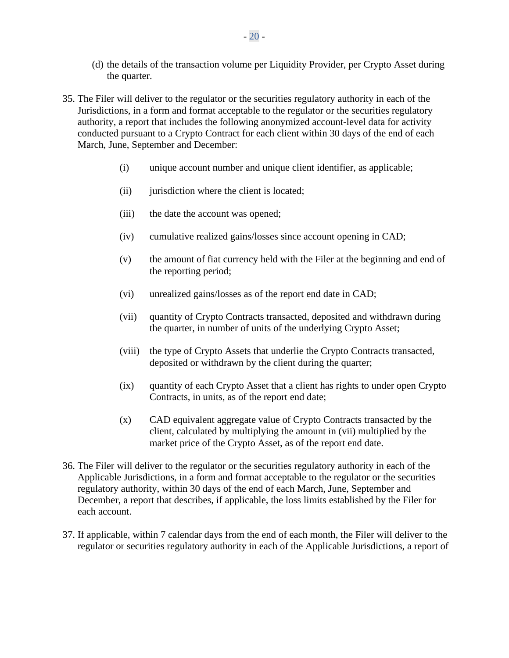- (d) the details of the transaction volume per Liquidity Provider, per Crypto Asset during the quarter.
- 35. The Filer will deliver to the regulator or the securities regulatory authority in each of the Jurisdictions, in a form and format acceptable to the regulator or the securities regulatory authority, a report that includes the following anonymized account-level data for activity conducted pursuant to a Crypto Contract for each client within 30 days of the end of each March, June, September and December:
	- (i) unique account number and unique client identifier, as applicable;
	- (ii) jurisdiction where the client is located;
	- (iii) the date the account was opened;
	- (iv) cumulative realized gains/losses since account opening in CAD;
	- (v) the amount of fiat currency held with the Filer at the beginning and end of the reporting period;
	- (vi) unrealized gains/losses as of the report end date in CAD;
	- (vii) quantity of Crypto Contracts transacted, deposited and withdrawn during the quarter, in number of units of the underlying Crypto Asset;
	- (viii) the type of Crypto Assets that underlie the Crypto Contracts transacted, deposited or withdrawn by the client during the quarter;
	- (ix) quantity of each Crypto Asset that a client has rights to under open Crypto Contracts, in units, as of the report end date;
	- (x) CAD equivalent aggregate value of Crypto Contracts transacted by the client, calculated by multiplying the amount in (vii) multiplied by the market price of the Crypto Asset, as of the report end date.
- 36. The Filer will deliver to the regulator or the securities regulatory authority in each of the Applicable Jurisdictions, in a form and format acceptable to the regulator or the securities regulatory authority, within 30 days of the end of each March, June, September and December, a report that describes, if applicable, the loss limits established by the Filer for each account.
- 37. If applicable, within 7 calendar days from the end of each month, the Filer will deliver to the regulator or securities regulatory authority in each of the Applicable Jurisdictions, a report of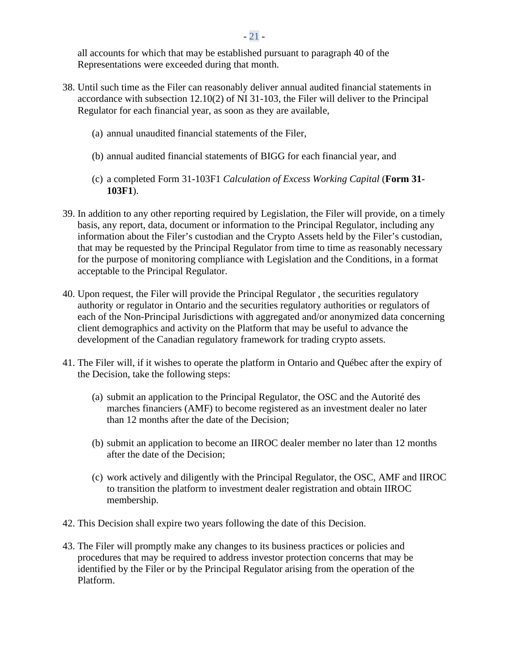all accounts for which that may be established pursuant to paragraph 40 of the Representations were exceeded during that month.

- 38. Until such time as the Filer can reasonably deliver annual audited financial statements in accordance with subsection 12.10(2) of NI 31-103, the Filer will deliver to the Principal Regulator for each financial year, as soon as they are available,
	- (a) annual unaudited financial statements of the Filer,
	- (b) annual audited financial statements of BIGG for each financial year, and
	- (c) a completed Form 31-103F1 *Calculation of Excess Working Capital* (**Form 31- 103F1**).
- 39. In addition to any other reporting required by Legislation, the Filer will provide, on a timely basis, any report, data, document or information to the Principal Regulator, including any information about the Filer's custodian and the Crypto Assets held by the Filer's custodian, that may be requested by the Principal Regulator from time to time as reasonably necessary for the purpose of monitoring compliance with Legislation and the Conditions, in a format acceptable to the Principal Regulator.
- 40. Upon request, the Filer will provide the Principal Regulator , the securities regulatory authority or regulator in Ontario and the securities regulatory authorities or regulators of each of the Non-Principal Jurisdictions with aggregated and/or anonymized data concerning client demographics and activity on the Platform that may be useful to advance the development of the Canadian regulatory framework for trading crypto assets.
- 41. The Filer will, if it wishes to operate the platform in Ontario and Québec after the expiry of the Decision, take the following steps:
	- (a) submit an application to the Principal Regulator, the OSC and the Autorité des marches financiers (AMF) to become registered as an investment dealer no later than 12 months after the date of the Decision;
	- (b) submit an application to become an IIROC dealer member no later than 12 months after the date of the Decision;
	- (c) work actively and diligently with the Principal Regulator, the OSC, AMF and IIROC to transition the platform to investment dealer registration and obtain IIROC membership.
- 42. This Decision shall expire two years following the date of this Decision.
- 43. The Filer will promptly make any changes to its business practices or policies and procedures that may be required to address investor protection concerns that may be identified by the Filer or by the Principal Regulator arising from the operation of the Platform.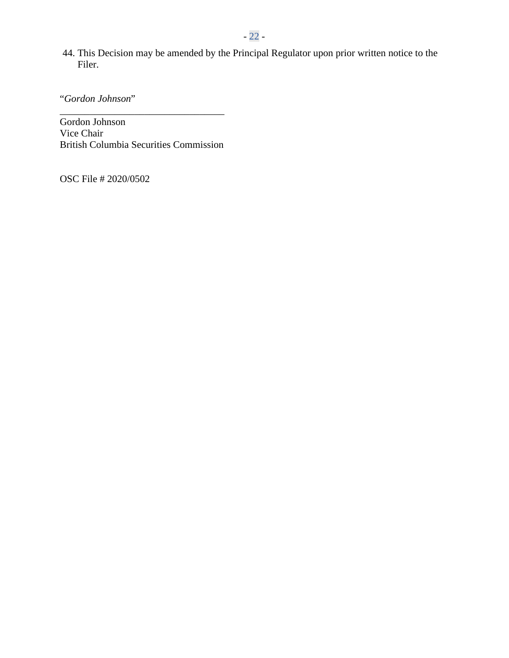44. This Decision may be amended by the Principal Regulator upon prior written notice to the Filer.

"*Gordon Johnson*"

Gordon Johnson Vice Chair British Columbia Securities Commission

\_\_\_\_\_\_\_\_\_\_\_\_\_\_\_\_\_\_\_\_\_\_\_\_\_\_\_\_\_\_\_\_\_

OSC File # 2020/0502